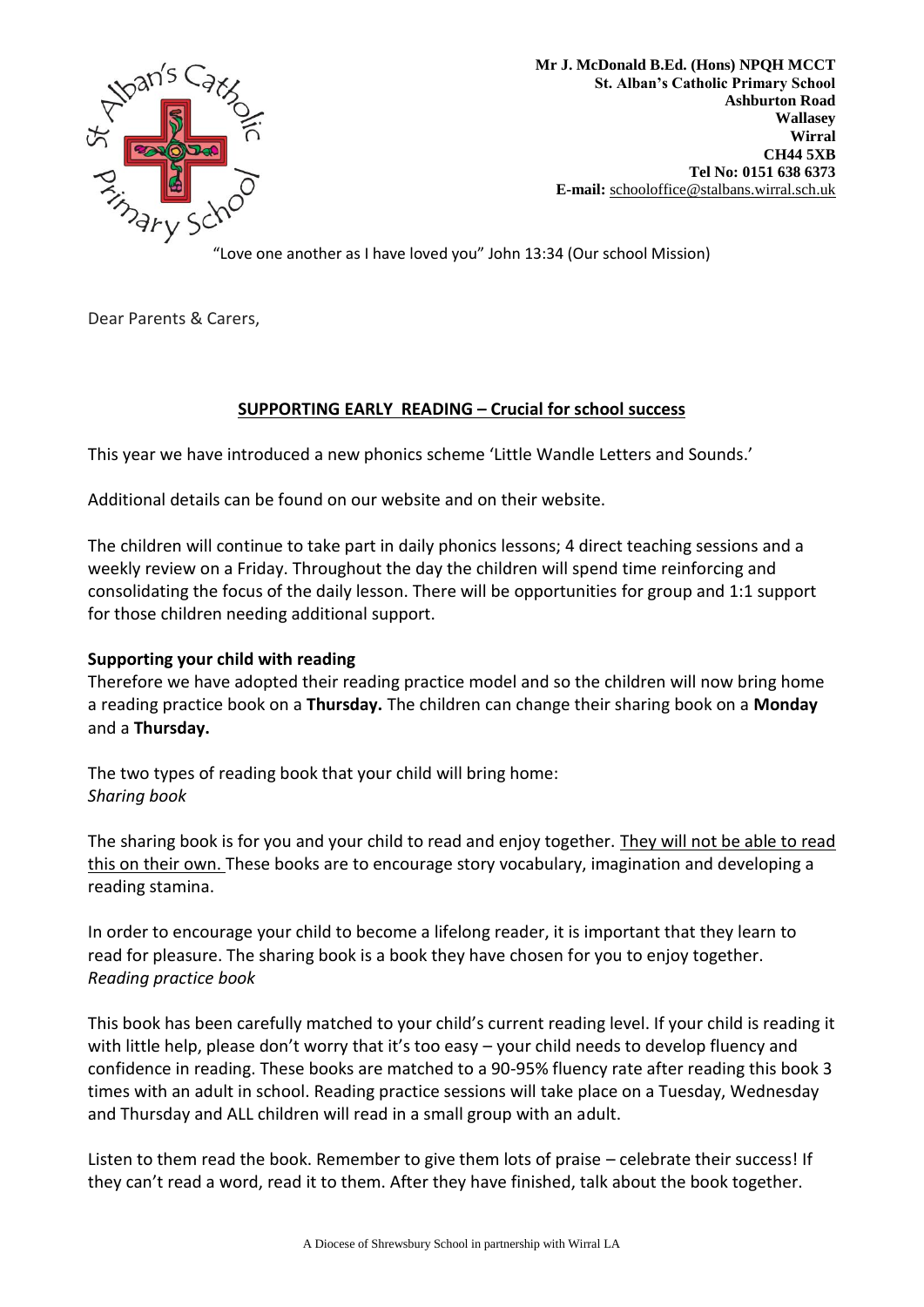

**Mr J. McDonald B.Ed. (Hons) NPQH MCCT St. Alban's Catholic Primary School Ashburton Road Wallasey Wirral CH44 5XB Tel No: 0151 638 6373 E-mail:** [schooloffice@stalbans.wirral.sch.](mailto:schooloffice@stalbans.wirral.sch.uk)uk

"Love one another as I have loved you" John 13:34 (Our school Mission)

Dear Parents & Carers,

## **SUPPORTING EARLY READING – Crucial for school success**

This year we have introduced a new phonics scheme 'Little Wandle Letters and Sounds.'

Additional details can be found on our website and on their website.

The children will continue to take part in daily phonics lessons; 4 direct teaching sessions and a weekly review on a Friday. Throughout the day the children will spend time reinforcing and consolidating the focus of the daily lesson. There will be opportunities for group and 1:1 support for those children needing additional support.

## **Supporting your child with reading**

Therefore we have adopted their reading practice model and so the children will now bring home a reading practice book on a **Thursday.** The children can change their sharing book on a **Monday** and a **Thursday.**

The two types of reading book that your child will bring home: *Sharing book*

The sharing book is for you and your child to read and enjoy together. They will not be able to read this on their own. These books are to encourage story vocabulary, imagination and developing a reading stamina.

In order to encourage your child to become a lifelong reader, it is important that they learn to read for pleasure. The sharing book is a book they have chosen for you to enjoy together. *Reading practice book*

This book has been carefully matched to your child's current reading level. If your child is reading it with little help, please don't worry that it's too easy – your child needs to develop fluency and confidence in reading. These books are matched to a 90-95% fluency rate after reading this book 3 times with an adult in school. Reading practice sessions will take place on a Tuesday, Wednesday and Thursday and ALL children will read in a small group with an adult.

Listen to them read the book. Remember to give them lots of praise – celebrate their success! If they can't read a word, read it to them. After they have finished, talk about the book together.